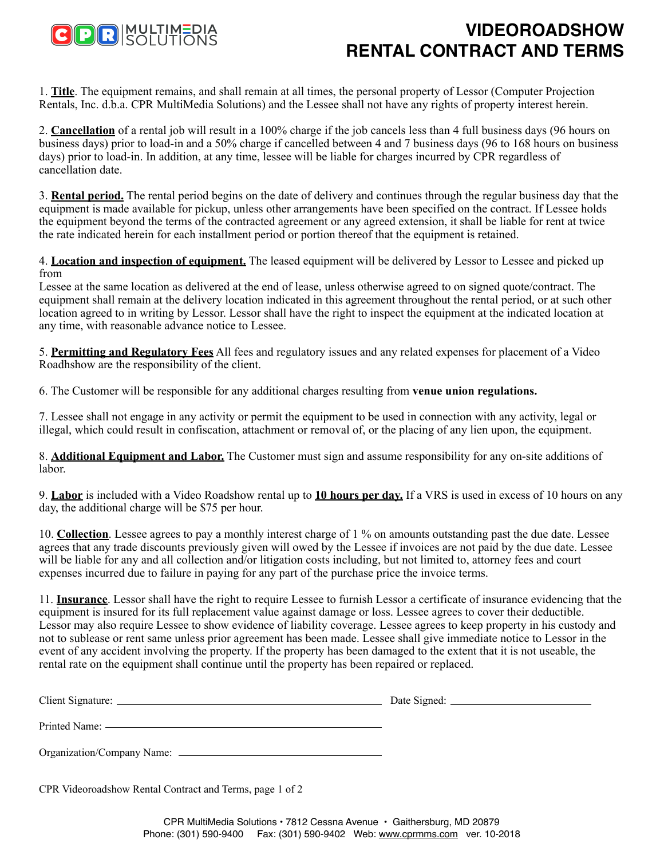

## **VIDEOROADSHOW RENTAL CONTRACT AND TERMS**

1. **Title**. The equipment remains, and shall remain at all times, the personal property of Lessor (Computer Projection Rentals, Inc. d.b.a. CPR MultiMedia Solutions) and the Lessee shall not have any rights of property interest herein.

2. **Cancellation** of a rental job will result in a 100% charge if the job cancels less than 4 full business days (96 hours on business days) prior to load-in and a 50% charge if cancelled between 4 and 7 business days (96 to 168 hours on business days) prior to load-in. In addition, at any time, lessee will be liable for charges incurred by CPR regardless of cancellation date.

3. **Rental period.** The rental period begins on the date of delivery and continues through the regular business day that the equipment is made available for pickup, unless other arrangements have been specified on the contract. If Lessee holds the equipment beyond the terms of the contracted agreement or any agreed extension, it shall be liable for rent at twice the rate indicated herein for each installment period or portion thereof that the equipment is retained.

4. **Location and inspection of equipment.** The leased equipment will be delivered by Lessor to Lessee and picked up from

Lessee at the same location as delivered at the end of lease, unless otherwise agreed to on signed quote/contract. The equipment shall remain at the delivery location indicated in this agreement throughout the rental period, or at such other location agreed to in writing by Lessor. Lessor shall have the right to inspect the equipment at the indicated location at any time, with reasonable advance notice to Lessee.

5. **Permitting and Regulatory Fees** All fees and regulatory issues and any related expenses for placement of a Video Roadhshow are the responsibility of the client.

6. The Customer will be responsible for any additional charges resulting from **venue union regulations.**

7. Lessee shall not engage in any activity or permit the equipment to be used in connection with any activity, legal or illegal, which could result in confiscation, attachment or removal of, or the placing of any lien upon, the equipment.

8. **Additional Equipment and Labor.** The Customer must sign and assume responsibility for any on-site additions of labor.

9. **Labor** is included with a Video Roadshow rental up to **10 hours per day.** If a VRS is used in excess of 10 hours on any day, the additional charge will be \$75 per hour.

10. **Collection**. Lessee agrees to pay a monthly interest charge of 1 % on amounts outstanding past the due date. Lessee agrees that any trade discounts previously given will owed by the Lessee if invoices are not paid by the due date. Lessee will be liable for any and all collection and/or litigation costs including, but not limited to, attorney fees and court expenses incurred due to failure in paying for any part of the purchase price the invoice terms.

11. **Insurance**. Lessor shall have the right to require Lessee to furnish Lessor a certificate of insurance evidencing that the equipment is insured for its full replacement value against damage or loss. Lessee agrees to cover their deductible. Lessor may also require Lessee to show evidence of liability coverage. Lessee agrees to keep property in his custody and not to sublease or rent same unless prior agreement has been made. Lessee shall give immediate notice to Lessor in the event of any accident involving the property. If the property has been damaged to the extent that it is not useable, the rental rate on the equipment shall continue until the property has been repaired or replaced.

| Client Signature: | Date Signed: |
|-------------------|--------------|
|                   |              |
| Printed Name:     |              |

Organization/Company Name:

CPR Videoroadshow Rental Contract and Terms, page 1 of 2